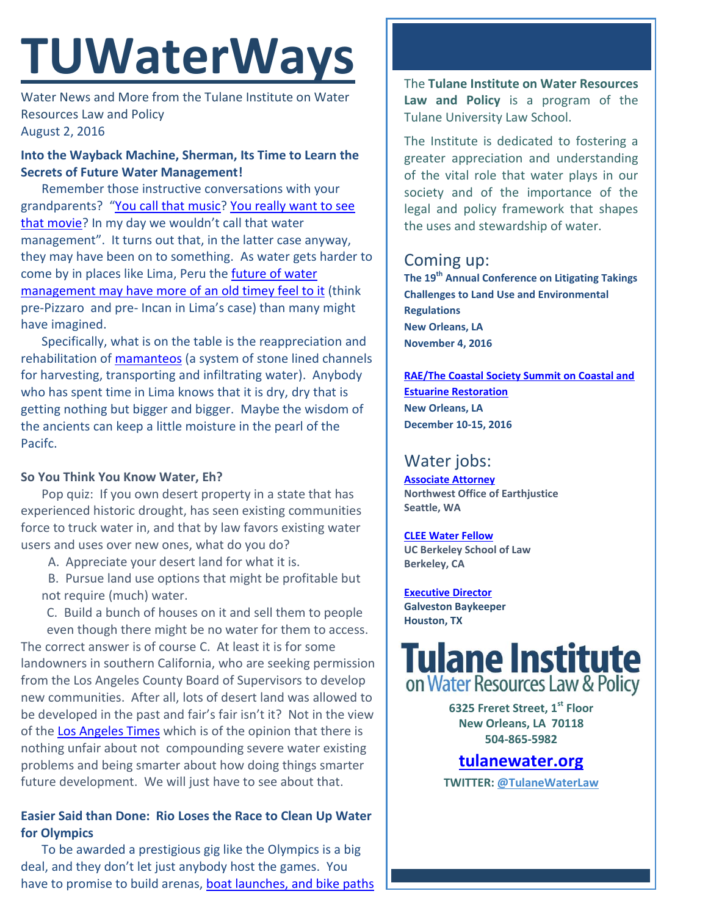# **TUWaterWays**

Water News and More from the Tulane Institute on Water Resources Law and Policy August 2, 2016

# **Into the Wayback Machine, Sherman, Its Time to Learn the Secrets of Future Water Management!**

Remember those instructive conversations with your grandparents? "[You call that music?](https://www.youtube.com/watch?v=DMx2u3xA6Bc) [You really want to see](https://www.youtube.com/watch?v=CTewREIwG6E)  [that movie?](https://www.youtube.com/watch?v=CTewREIwG6E) In my day we wouldn't call that water management". It turns out that, in the latter case anyway, they may have been on to something. As water gets harder to come by in places like Lima, Peru the [future of water](http://www.smithsonianmag.com/science-nature/saving-water-old-fashioned-way-180959917/?no-ist)  [management may have more of an old timey feel to it](http://www.smithsonianmag.com/science-nature/saving-water-old-fashioned-way-180959917/?no-ist) (think pre-Pizzaro and pre- Incan in Lima's case) than many might have imagined.

Specifically, what is on the table is the reappreciation and rehabilitation of [mamanteos](https://www.youtube.com/watch?v=NHiGiIWMhoo&feature=youtu.be) (a system of stone lined channels for harvesting, transporting and infiltrating water). Anybody who has spent time in Lima knows that it is dry, dry that is getting nothing but bigger and bigger. Maybe the wisdom of the ancients can keep a little moisture in the pearl of the Pacifc.

## **So You Think You Know Water, Eh?**

Pop quiz: If you own desert property in a state that has experienced historic drought, has seen existing communities force to truck water in, and that by law favors existing water users and uses over new ones, what do you do?

A. Appreciate your desert land for what it is.

 B. Pursue land use options that might be profitable but not require (much) water.

C. Build a bunch of houses on it and sell them to people

even though there might be no water for them to access. The correct answer is of course C. At least it is for some landowners in southern California, who are seeking permission from the Los Angeles County Board of Supervisors to develop new communities. After all, lots of desert land was allowed to be developed in the past and fair's fair isn't it? Not in the view of th[e Los Angeles Times](http://www.latimes.com/opinion/editorials/la-ed-water-hauling-20160729-snap-story.html) which is of the opinion that there is nothing unfair about not compounding severe water existing problems and being smarter about how doing things smarter future development. We will just have to see about that.

# **Easier Said than Done: Rio Loses the Race to Clean Up Water for Olympics**

To be awarded a prestigious gig like the Olympics is a big deal, and they don't let just anybody host the games. You have to promise to build arenas, [boat launches, and bike paths](http://sports.inquirer.net/217764/main-ramp-collapses-at-rio-olympics-sailing-venue)

The **Tulane Institute on Water Resources Law and Policy** is a program of the Tulane University Law School.

The Institute is dedicated to fostering a greater appreciation and understanding of the vital role that water plays in our society and of the importance of the legal and policy framework that shapes the uses and stewardship of water.

# Coming up:

**The 19th Annual Conference on Litigating Takings Challenges to Land Use and Environmental Regulations New Orleans, LA November 4, 2016**

**[RAE/The Coastal Society Summit on Coastal and](https://www.estuaries.org/images/NOLA_2016/2016-Summit-CFP_FINAL-011516.pdf)  [Estuarine Restoration](https://www.estuaries.org/images/NOLA_2016/2016-Summit-CFP_FINAL-011516.pdf) New Orleans, LA December 10-15, 2016**

# Water jobs:

**[Associate Attorney](http://tulanewater.us11.list-manage1.com/track/click?u=b87c517a041f161e5ba9b4abd&id=93be59c274&e=1061668570) Northwest Office of Earthjustice Seattle, WA**

**[CLEE Water Fellow](file:///C:/Users/waterlaw/Downloads/CLEE_Water%20Fellow_July%202016.pdf) UC Berkeley School of Law Berkeley, CA**

**[Executive Director](http://www.galvestonbaykeeper.org/job_openings) Galveston Baykeeper Houston, TX**

# **Tulane Institute** on Water Resources Law & Policy

**6325 Freret Street, 1st Floor New Orleans, LA 70118 504-865-5982** 

**[tulanewater.org](file:///C:/Users/waterlaw/Downloads/tulanewater.org) TWITTER: [@TulaneWaterLaw](http://www.twitter.com/TulaneWaterLaw)**